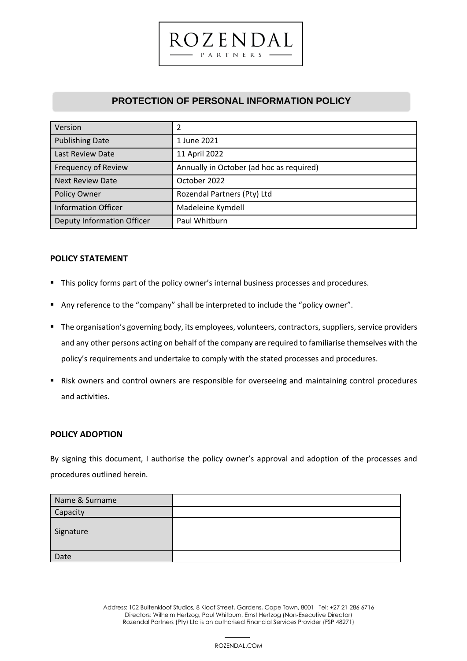# **PROTECTION OF PERSONAL INFORMATION POLICY**

 $27ENDA$ PARTNERS

| Version                           | 2                                        |
|-----------------------------------|------------------------------------------|
| <b>Publishing Date</b>            | 1 June 2021                              |
| Last Review Date                  | 11 April 2022                            |
| Frequency of Review               | Annually in October (ad hoc as required) |
| <b>Next Review Date</b>           | October 2022                             |
| Policy Owner                      | Rozendal Partners (Pty) Ltd              |
| <b>Information Officer</b>        | Madeleine Kymdell                        |
| <b>Deputy Information Officer</b> | Paul Whitburn                            |

# **POLICY STATEMENT**

- This policy forms part of the policy owner's internal business processes and procedures.
- Any reference to the "company" shall be interpreted to include the "policy owner".
- The organisation's governing body, its employees, volunteers, contractors, suppliers, service providers and any other persons acting on behalf of the company are required to familiarise themselves with the policy's requirements and undertake to comply with the stated processes and procedures.
- Risk owners and control owners are responsible for overseeing and maintaining control procedures and activities.

### **POLICY ADOPTION**

By signing this document, I authorise the policy owner's approval and adoption of the processes and procedures outlined herein.

| Name & Surname |  |
|----------------|--|
| Capacity       |  |
| Signature      |  |
| Date           |  |

 1 Address: 102 Buitenkloof Studios, 8 Kloof Street, Gardens, Cape Town, 8001 Tel: +27 21 286 6716 Directors: Wilhelm Hertzog, Paul Whitburn, Ernst Hertzog (Non-Executive Director) Rozendal Partners (Pty) Ltd is an authorised Financial Services Provider (FSP 48271)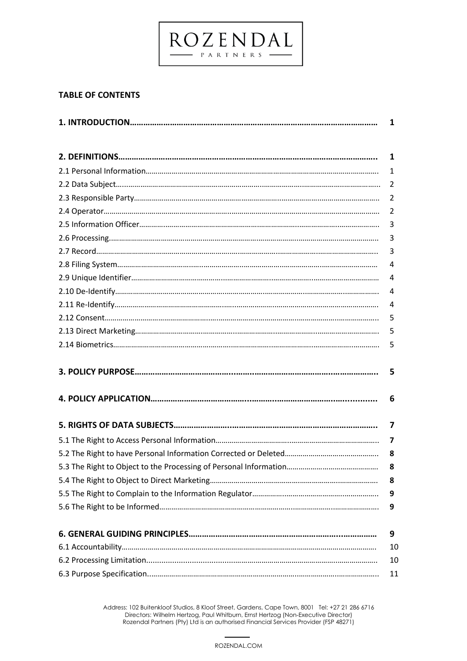# **TABLE OF CONTENTS**

| 1              |
|----------------|
| 1              |
| 1              |
| 2              |
| 2              |
| $\overline{2}$ |
| 3              |
| 3              |
| 3              |
| 4              |
| 4              |
| 4              |
| 4              |
| 5              |
| 5              |
| 5              |
| 5              |
| 6              |
| 7              |
| 7              |
| 8              |
| 8              |
| 8              |
| 9              |
| 9              |
| 9              |
| 10             |
| 10             |
| 11             |

 $\underbrace{ROZ}_{\tiny{\textbf{PARTNFRS}}} \underbrace{\textbf{N}}_{\tiny{\textbf{DAL}}} \underbrace{\textbf{AL}}_{\tiny{\textbf{ALE}}}$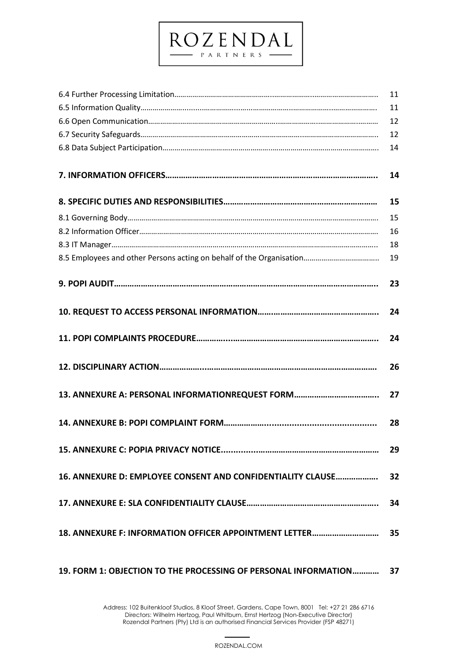# 6.4 Further Processing Limitation…………………………………………..………………..………………………….. 11 6.5 Information Quality…………………..........……………...…...………………..………………..…………………. 11 6.6 Open Communication…………….…………………………………………..………………..………………..……… 12 6.7 Security Safeguards……………………………………………………..………………..………………..…………….. 12 6.8 Data Subject Participation……………………………..………………..………………..………………..…………. 14 **7. INFORMATION OFFICERS………………………………………………………………………………….. 14 8. SPECIFIC DUTIES AND RESPONSIBILITIES…………………………………………………………… 15** 8.1 Governing Body………………………………………………………………………….………………………….………. 15 8.2 Information Officer………………………………………………………..………………………………………………. 16 8.3 IT Manager…………………………………………………………………………………………………………………….. 18 8.5 Employees and other Persons acting on behalf of the Organisation……………………………….. 19 **9. POPI AUDIT………………..…………………………………………………………………………………….. 23 10. REQUEST TO ACCESS PERSONAL INFORMATION…….……………………………………….. 24 11. POPI COMPLAINTS PROCEDURE…………....……………………………………………………….. 24 12. DISCIPLINARY ACTION………………...…………………………………………………………………. 26 13. ANNEXURE A: PERSONAL INFORMATIONREQUEST FORM……………………………….. 27 14. ANNEXURE B: POPI COMPLAINT FORM………………............................................. 28 15. ANNEXURE C: POPIA PRIVACY NOTICE...............……………………………………………… 29 16. ANNEXURE D: EMPLOYEE CONSENT AND CONFIDENTIALITY CLAUSE………………. 32 17. ANNEXURE E: SLA CONFIDENTIALITY CLAUSE………………………………………………….. 34 18. ANNEXURE F: INFORMATION OFFICER APPOINTMENT LETTER………………………… 35**

ROZENDAL

# **19. FORM 1: OBJECTION TO THE PROCESSING OF PERSONAL INFORMATION………… 37**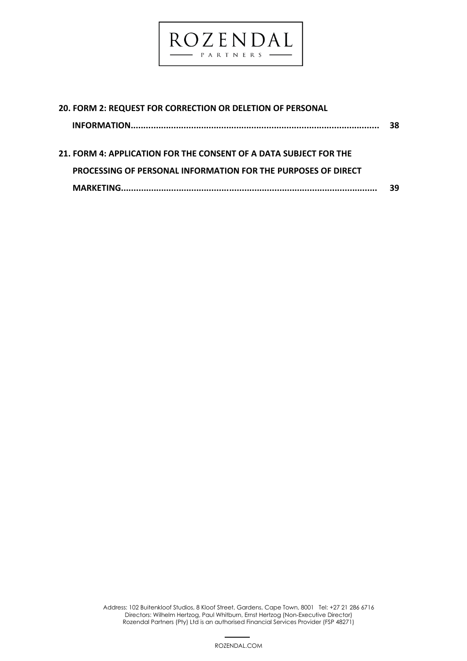

| 20. FORM 2: REQUEST FOR CORRECTION OR DELETION OF PERSONAL           |    |
|----------------------------------------------------------------------|----|
|                                                                      | 38 |
|                                                                      |    |
| 21. FORM 4: APPLICATION FOR THE CONSENT OF A DATA SUBJECT FOR THE    |    |
| <b>PROCESSING OF PERSONAL INFORMATION FOR THE PURPOSES OF DIRECT</b> |    |
|                                                                      | 39 |

 4 Address: 102 Buitenkloof Studios, 8 Kloof Street, Gardens, Cape Town, 8001 Tel: +27 21 286 6716 Directors: Wilhelm Hertzog, Paul Whitburn, Ernst Hertzog (Non-Executive Director) Rozendal Partners (Pty) Ltd is an authorised Financial Services Provider (FSP 48271)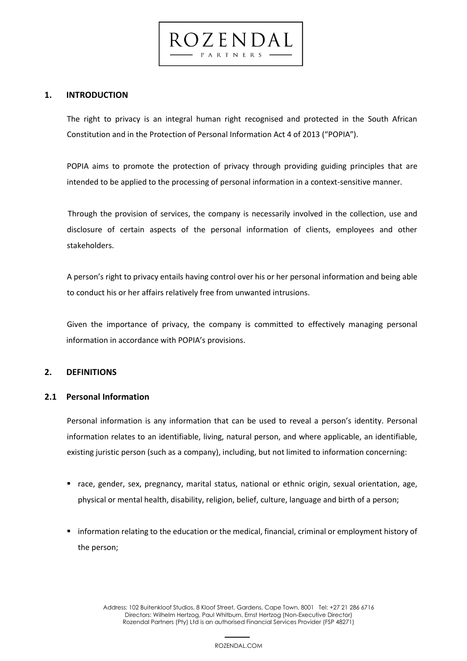**1. INTRODUCTION**

The right to privacy is an integral human right recognised and protected in the South African Constitution and in the Protection of Personal Information Act 4 of 2013 ("POPIA").

 $C$ zenda PARTNERS

POPIA aims to promote the protection of privacy through providing guiding principles that are intended to be applied to the processing of personal information in a context-sensitive manner.

Through the provision of services, the company is necessarily involved in the collection, use and disclosure of certain aspects of the personal information of clients, employees and other stakeholders.

A person's right to privacy entails having control over his or her personal information and being able to conduct his or her affairs relatively free from unwanted intrusions.

Given the importance of privacy, the company is committed to effectively managing personal information in accordance with POPIA's provisions.

# **2. DEFINITIONS**

# **2.1 Personal Information**

Personal information is any information that can be used to reveal a person's identity. Personal information relates to an identifiable, living, natural person, and where applicable, an identifiable, existing juristic person (such as a company), including, but not limited to information concerning:

- race, gender, sex, pregnancy, marital status, national or ethnic origin, sexual orientation, age, physical or mental health, disability, religion, belief, culture, language and birth of a person;
- information relating to the education or the medical, financial, criminal or employment history of the person;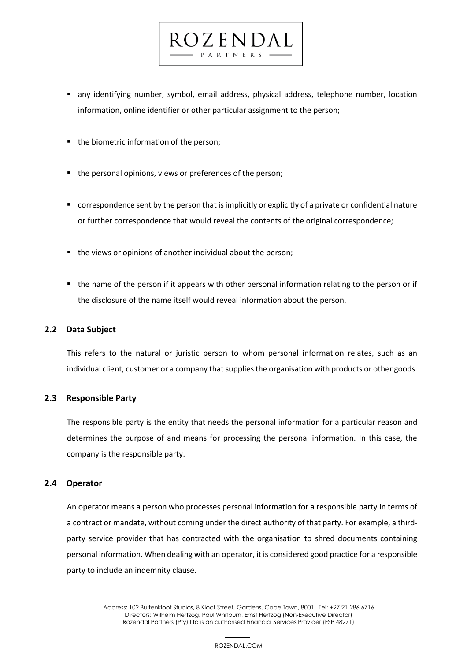

0 Z E N D A PARTNERS

- the biometric information of the person;
- the personal opinions, views or preferences of the person;
- correspondence sent by the person that is implicitly or explicitly of a private or confidential nature or further correspondence that would reveal the contents of the original correspondence;
- the views or opinions of another individual about the person;
- the name of the person if it appears with other personal information relating to the person or if the disclosure of the name itself would reveal information about the person.

# **2.2 Data Subject**

This refers to the natural or juristic person to whom personal information relates, such as an individual client, customer or a company that supplies the organisation with products or other goods.

# **2.3 Responsible Party**

The responsible party is the entity that needs the personal information for a particular reason and determines the purpose of and means for processing the personal information. In this case, the company is the responsible party.

#### **2.4 Operator**

An operator means a person who processes personal information for a responsible party in terms of a contract or mandate, without coming under the direct authority of that party. For example, a thirdparty service provider that has contracted with the organisation to shred documents containing personal information. When dealing with an operator, it is considered good practice for a responsible party to include an indemnity clause.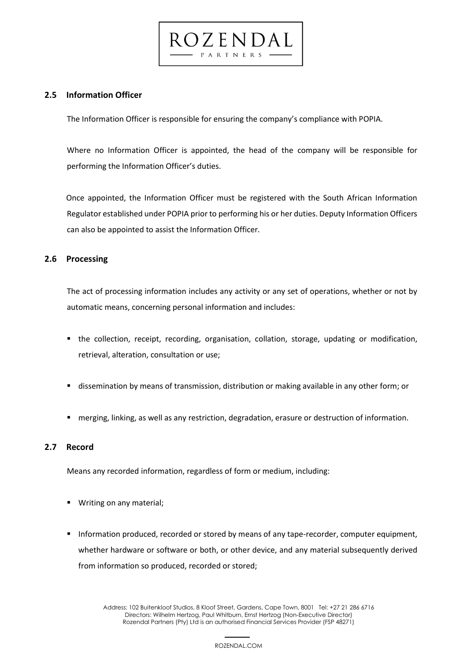# **2.5 Information Officer**

The Information Officer is responsible for ensuring the company's compliance with POPIA.

0 Z E N D A PARTNERS

Where no Information Officer is appointed, the head of the company will be responsible for performing the Information Officer's duties.

Once appointed, the Information Officer must be registered with the South African Information Regulator established under POPIA prior to performing his or her duties. Deputy Information Officers can also be appointed to assist the Information Officer.

## **2.6 Processing**

The act of processing information includes any activity or any set of operations, whether or not by automatic means, concerning personal information and includes:

- the collection, receipt, recording, organisation, collation, storage, updating or modification, retrieval, alteration, consultation or use;
- **EX dissemination by means of transmission, distribution or making available in any other form; or**
- merging, linking, as well as any restriction, degradation, erasure or destruction of information.

# **2.7 Record**

Means any recorded information, regardless of form or medium, including:

- Writing on any material;
- Information produced, recorded or stored by means of any tape-recorder, computer equipment, whether hardware or software or both, or other device, and any material subsequently derived from information so produced, recorded or stored;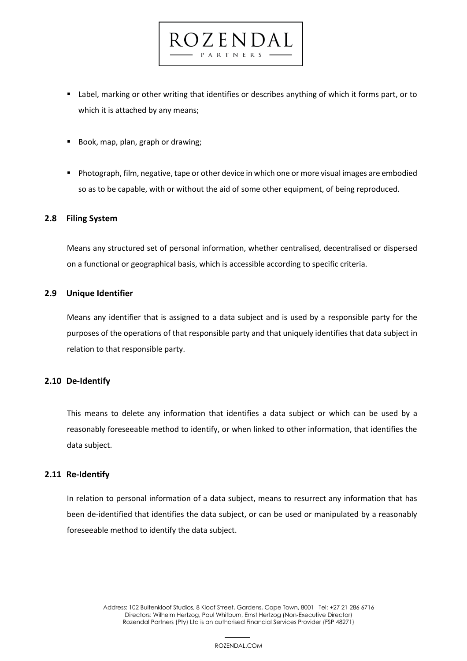■ Label, marking or other writing that identifies or describes anything of which it forms part, or to which it is attached by any means;

dzenda PARTNERS

- Book, map, plan, graph or drawing;
- Photograph, film, negative, tape or other device in which one or more visual images are embodied so as to be capable, with or without the aid of some other equipment, of being reproduced.

## **2.8 Filing System**

Means any structured set of personal information, whether centralised, decentralised or dispersed on a functional or geographical basis, which is accessible according to specific criteria.

## **2.9 Unique Identifier**

Means any identifier that is assigned to a data subject and is used by a responsible party for the purposes of the operations of that responsible party and that uniquely identifies that data subject in relation to that responsible party.

# **2.10 De-Identify**

This means to delete any information that identifies a data subject or which can be used by a reasonably foreseeable method to identify, or when linked to other information, that identifies the data subject.

# **2.11 Re-Identify**

In relation to personal information of a data subject, means to resurrect any information that has been de-identified that identifies the data subject, or can be used or manipulated by a reasonably foreseeable method to identify the data subject.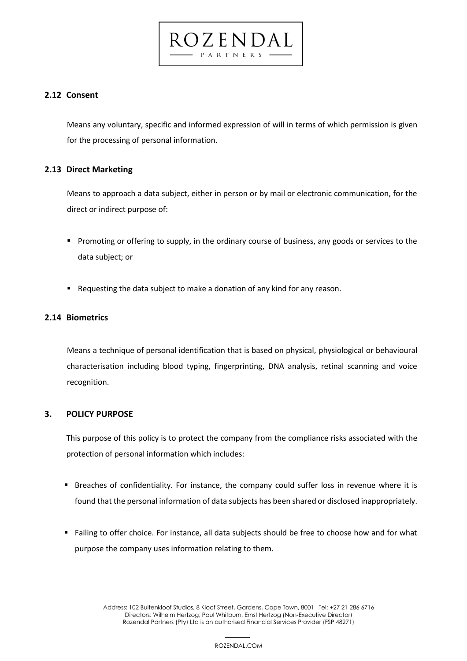# **2.12 Consent**

Means any voluntary, specific and informed expression of will in terms of which permission is given for the processing of personal information.

 $C$ zenda PARTNERS

# **2.13 Direct Marketing**

Means to approach a data subject, either in person or by mail or electronic communication, for the direct or indirect purpose of:

- Promoting or offering to supply, in the ordinary course of business, any goods or services to the data subject; or
- Requesting the data subject to make a donation of any kind for any reason.

# **2.14 Biometrics**

Means a technique of personal identification that is based on physical, physiological or behavioural characterisation including blood typing, fingerprinting, DNA analysis, retinal scanning and voice recognition.

# **3. POLICY PURPOSE**

This purpose of this policy is to protect the company from the compliance risks associated with the protection of personal information which includes:

- Breaches of confidentiality. For instance, the company could suffer loss in revenue where it is found that the personal information of data subjects has been shared or disclosed inappropriately.
- Failing to offer choice. For instance, all data subjects should be free to choose how and for what purpose the company uses information relating to them.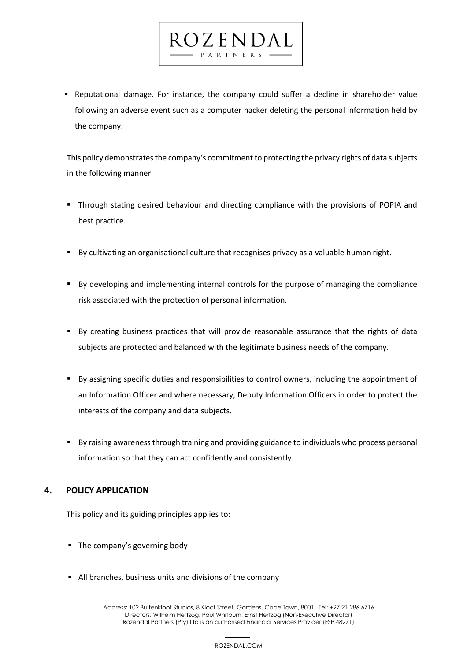▪ Reputational damage. For instance, the company could suffer a decline in shareholder value following an adverse event such as a computer hacker deleting the personal information held by the company.

 $C$ zenda PARTNERS

This policy demonstrates the company's commitment to protecting the privacy rights of data subjects in the following manner:

- **Through stating desired behaviour and directing compliance with the provisions of POPIA and** best practice.
- By cultivating an organisational culture that recognises privacy as a valuable human right.
- By developing and implementing internal controls for the purpose of managing the compliance risk associated with the protection of personal information.
- By creating business practices that will provide reasonable assurance that the rights of data subjects are protected and balanced with the legitimate business needs of the company.
- By assigning specific duties and responsibilities to control owners, including the appointment of an Information Officer and where necessary, Deputy Information Officers in order to protect the interests of the company and data subjects.
- By raising awareness through training and providing guidance to individuals who process personal information so that they can act confidently and consistently.

# **4. POLICY APPLICATION**

This policy and its guiding principles applies to:

- The company's governing body
- All branches, business units and divisions of the company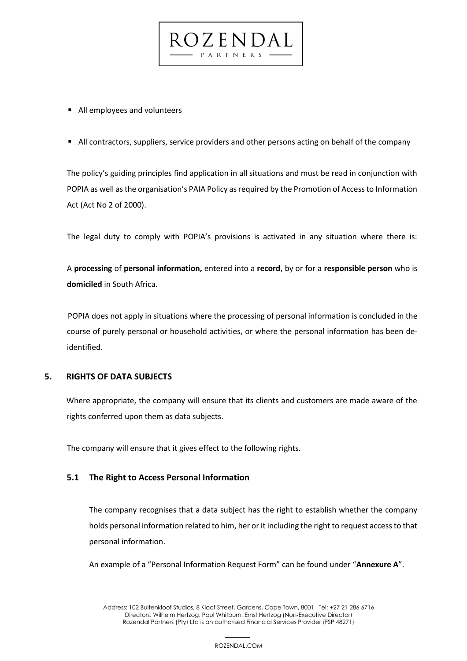

■ All contractors, suppliers, service providers and other persons acting on behalf of the company

 $C$ zenda PARTNERS

The policy's guiding principles find application in all situations and must be read in conjunction with POPIA as well as the organisation's PAIA Policy as required by the Promotion of Access to Information Act (Act No 2 of 2000).

The legal duty to comply with POPIA's provisions is activated in any situation where there is:

A **processing** of **personal information,** entered into a **record**, by or for a **responsible person** who is **domiciled** in South Africa.

POPIA does not apply in situations where the processing of personal information is concluded in the course of purely personal or household activities, or where the personal information has been deidentified.

# **5. RIGHTS OF DATA SUBJECTS**

Where appropriate, the company will ensure that its clients and customers are made aware of the rights conferred upon them as data subjects.

The company will ensure that it gives effect to the following rights.

# **5.1 The Right to Access Personal Information**

The company recognises that a data subject has the right to establish whether the company holds personal information related to him, her or it including the right to request access to that personal information.

An example of a "Personal Information Request Form" can be found under "**Annexure A**".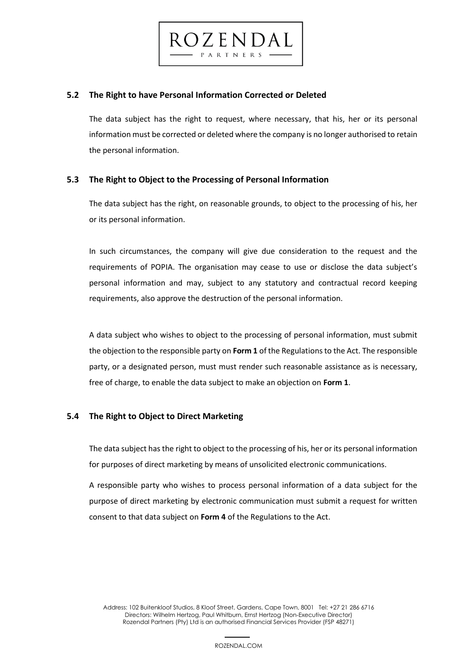

# **5.2 The Right to have Personal Information Corrected or Deleted**

The data subject has the right to request, where necessary, that his, her or its personal information must be corrected or deleted where the company is no longer authorised to retain the personal information.

# **5.3 The Right to Object to the Processing of Personal Information**

The data subject has the right, on reasonable grounds, to object to the processing of his, her or its personal information.

In such circumstances, the company will give due consideration to the request and the requirements of POPIA. The organisation may cease to use or disclose the data subject's personal information and may, subject to any statutory and contractual record keeping requirements, also approve the destruction of the personal information.

A data subject who wishes to object to the processing of personal information, must submit the objection to the responsible party on **Form 1** of the Regulations to the Act. The responsible party, or a designated person, must must render such reasonable assistance as is necessary, free of charge, to enable the data subject to make an objection on **Form 1**.

# **5.4 The Right to Object to Direct Marketing**

The data subject has the right to object to the processing of his, her or its personal information for purposes of direct marketing by means of unsolicited electronic communications.

A responsible party who wishes to process personal information of a data subject for the purpose of direct marketing by electronic communication must submit a request for written consent to that data subject on **Form 4** of the Regulations to the Act.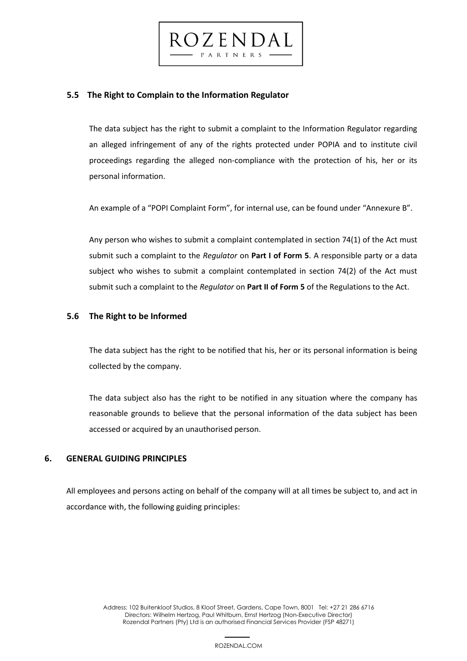

The data subject has the right to submit a complaint to the Information Regulator regarding an alleged infringement of any of the rights protected under POPIA and to institute civil proceedings regarding the alleged non-compliance with the protection of his, her or its personal information.

 $CZENDA$ 

An example of a "POPI Complaint Form", for internal use, can be found under "Annexure B".

Any person who wishes to submit a complaint contemplated in section 74(1) of the Act must submit such a complaint to the *Regulator* on **Part I of Form 5**. A responsible party or a data subject who wishes to submit a complaint contemplated in section 74(2) of the Act must submit such a complaint to the *Regulator* on **Part II of Form 5** of the Regulations to the Act.

## **5.6 The Right to be Informed**

The data subject has the right to be notified that his, her or its personal information is being collected by the company.

The data subject also has the right to be notified in any situation where the company has reasonable grounds to believe that the personal information of the data subject has been accessed or acquired by an unauthorised person.

# **6. GENERAL GUIDING PRINCIPLES**

All employees and persons acting on behalf of the company will at all times be subject to, and act in accordance with, the following guiding principles: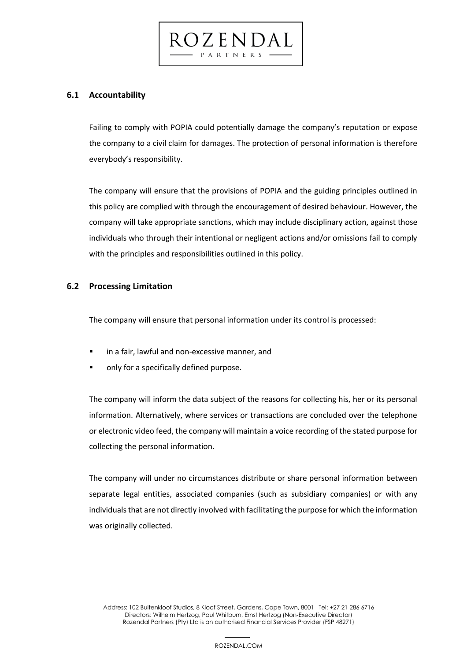**6.1 Accountability**

Failing to comply with POPIA could potentially damage the company's reputation or expose the company to a civil claim for damages. The protection of personal information is therefore everybody's responsibility.

ROZENDAL PARTNERS

The company will ensure that the provisions of POPIA and the guiding principles outlined in this policy are complied with through the encouragement of desired behaviour. However, the company will take appropriate sanctions, which may include disciplinary action, against those individuals who through their intentional or negligent actions and/or omissions fail to comply with the principles and responsibilities outlined in this policy.

# **6.2 Processing Limitation**

The company will ensure that personal information under its control is processed:

- in a fair, lawful and non-excessive manner, and
- only for a specifically defined purpose.

The company will inform the data subject of the reasons for collecting his, her or its personal information. Alternatively, where services or transactions are concluded over the telephone or electronic video feed, the company will maintain a voice recording of the stated purpose for collecting the personal information.

The company will under no circumstances distribute or share personal information between separate legal entities, associated companies (such as subsidiary companies) or with any individuals that are not directly involved with facilitating the purpose for which the information was originally collected.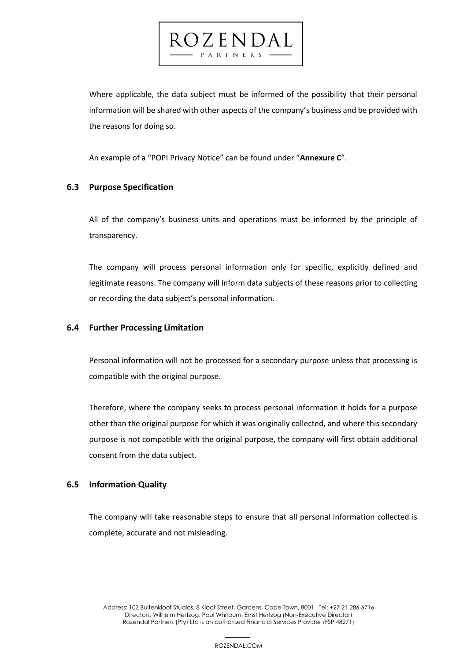Where applicable, the data subject must be informed of the possibility that their personal information will be shared with other aspects of the company's business and be provided with the reasons for doing so.

An example of a "POPI Privacy Notice" can be found under "**Annexure C**".

ROZENDAL PARTNERS

# **6.3 Purpose Specification**

All of the company's business units and operations must be informed by the principle of transparency.

The company will process personal information only for specific, explicitly defined and legitimate reasons. The company will inform data subjects of these reasons prior to collecting or recording the data subject's personal information.

# **6.4 Further Processing Limitation**

Personal information will not be processed for a secondary purpose unless that processing is compatible with the original purpose.

Therefore, where the company seeks to process personal information it holds for a purpose other than the original purpose for which it was originally collected, and where this secondary purpose is not compatible with the original purpose, the company will first obtain additional consent from the data subject.

# **6.5 Information Quality**

The company will take reasonable steps to ensure that all personal information collected is complete, accurate and not misleading.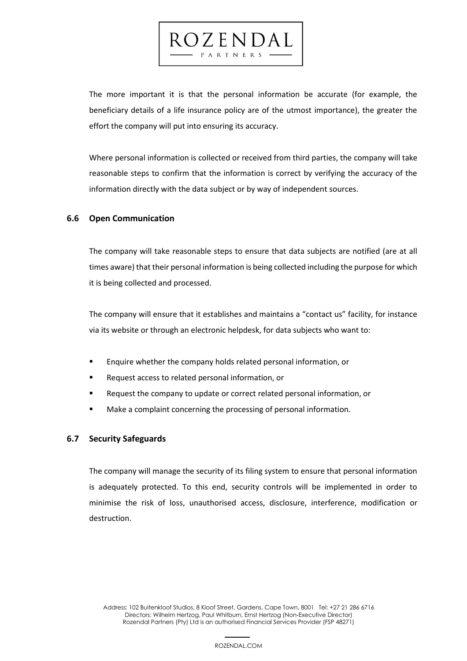The more important it is that the personal information be accurate (for example, the beneficiary details of a life insurance policy are of the utmost importance), the greater the effort the company will put into ensuring its accuracy.

ROZENDAL

Where personal information is collected or received from third parties, the company will take reasonable steps to confirm that the information is correct by verifying the accuracy of the information directly with the data subject or by way of independent sources.

# **6.6 Open Communication**

The company will take reasonable steps to ensure that data subjects are notified (are at all times aware) that their personal information is being collected including the purpose for which it is being collected and processed.

The company will ensure that it establishes and maintains a "contact us" facility, for instance via its website or through an electronic helpdesk, for data subjects who want to:

- Enquire whether the company holds related personal information, or
- Request access to related personal information, or
- Request the company to update or correct related personal information, or
- Make a complaint concerning the processing of personal information.

## **6.7 Security Safeguards**

The company will manage the security of its filing system to ensure that personal information is adequately protected. To this end, security controls will be implemented in order to minimise the risk of loss, unauthorised access, disclosure, interference, modification or destruction.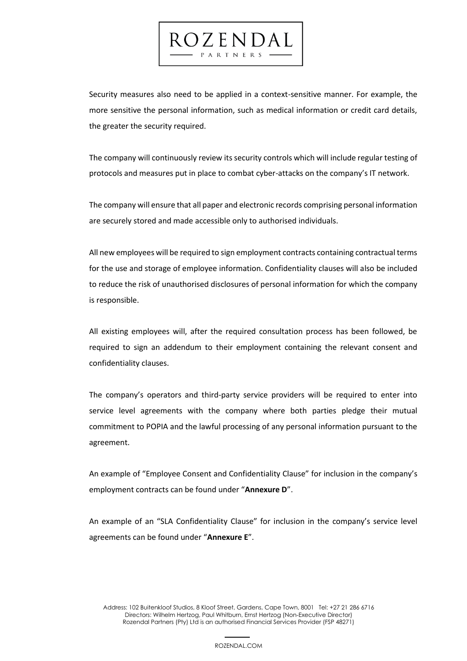Security measures also need to be applied in a context-sensitive manner. For example, the more sensitive the personal information, such as medical information or credit card details, the greater the security required.

ROZENDAL PARTNERS

The company will continuously review its security controls which will include regular testing of protocols and measures put in place to combat cyber-attacks on the company's IT network.

The company will ensure that all paper and electronic records comprising personal information are securely stored and made accessible only to authorised individuals.

All new employees will be required to sign employment contracts containing contractual terms for the use and storage of employee information. Confidentiality clauses will also be included to reduce the risk of unauthorised disclosures of personal information for which the company is responsible.

All existing employees will, after the required consultation process has been followed, be required to sign an addendum to their employment containing the relevant consent and confidentiality clauses.

The company's operators and third-party service providers will be required to enter into service level agreements with the company where both parties pledge their mutual commitment to POPIA and the lawful processing of any personal information pursuant to the agreement.

An example of "Employee Consent and Confidentiality Clause" for inclusion in the company's employment contracts can be found under "**Annexure D**".

An example of an "SLA Confidentiality Clause" for inclusion in the company's service level agreements can be found under "**Annexure E**".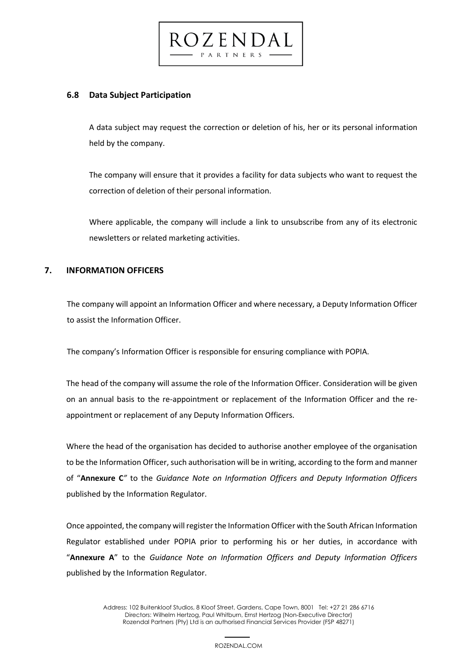

# **6.8 Data Subject Participation**

A data subject may request the correction or deletion of his, her or its personal information held by the company.

The company will ensure that it provides a facility for data subjects who want to request the correction of deletion of their personal information.

Where applicable, the company will include a link to unsubscribe from any of its electronic newsletters or related marketing activities.

# **7. INFORMATION OFFICERS**

The company will appoint an Information Officer and where necessary, a Deputy Information Officer to assist the Information Officer.

The company's Information Officer is responsible for ensuring compliance with POPIA.

The head of the company will assume the role of the Information Officer. Consideration will be given on an annual basis to the re-appointment or replacement of the Information Officer and the reappointment or replacement of any Deputy Information Officers.

Where the head of the organisation has decided to authorise another employee of the organisation to be the Information Officer, such authorisation will be in writing, according to the form and manner of "**Annexure C***"* to the *Guidance Note on Information Officers and Deputy Information Officers* published by the Information Regulator.

Once appointed, the company will register the Information Officer with the South African Information Regulator established under POPIA prior to performing his or her duties, in accordance with "**Annexure A**" to the *Guidance Note on Information Officers and Deputy Information Officers* published by the Information Regulator.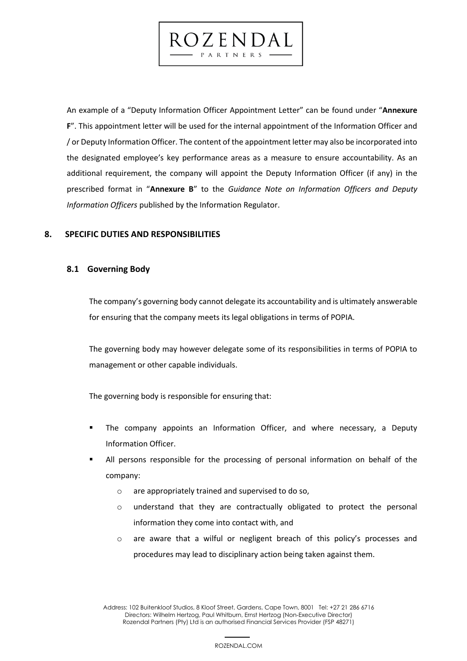An example of a "Deputy Information Officer Appointment Letter" can be found under "**Annexure F**". This appointment letter will be used for the internal appointment of the Information Officer and / or Deputy Information Officer. The content of the appointment letter may also be incorporated into the designated employee's key performance areas as a measure to ensure accountability. As an additional requirement, the company will appoint the Deputy Information Officer (if any) in the prescribed format in "**Annexure B**" to the *Guidance Note on Information Officers and Deputy Information Officers* published by the Information Regulator.

ROZENDAL

PARTNERS

# **8. SPECIFIC DUTIES AND RESPONSIBILITIES**

# **8.1 Governing Body**

The company's governing body cannot delegate its accountability and is ultimately answerable for ensuring that the company meets its legal obligations in terms of POPIA.

The governing body may however delegate some of its responsibilities in terms of POPIA to management or other capable individuals.

The governing body is responsible for ensuring that:

- The company appoints an Information Officer, and where necessary, a Deputy Information Officer.
- All persons responsible for the processing of personal information on behalf of the company:
	- o are appropriately trained and supervised to do so,
	- o understand that they are contractually obligated to protect the personal information they come into contact with, and
	- o are aware that a wilful or negligent breach of this policy's processes and procedures may lead to disciplinary action being taken against them.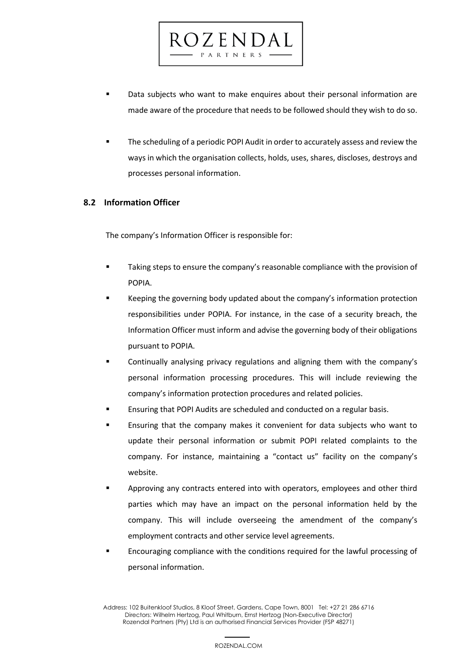Data subjects who want to make enquires about their personal information are made aware of the procedure that needs to be followed should they wish to do so.

dzendal

PARTNERS

The scheduling of a periodic POPI Audit in order to accurately assess and review the ways in which the organisation collects, holds, uses, shares, discloses, destroys and processes personal information.

# **8.2 Information Officer**

The company's Information Officer is responsible for:

- Taking steps to ensure the company's reasonable compliance with the provision of POPIA.
- Keeping the governing body updated about the company's information protection responsibilities under POPIA. For instance, in the case of a security breach, the Information Officer must inform and advise the governing body of their obligations pursuant to POPIA.
- Continually analysing privacy regulations and aligning them with the company's personal information processing procedures. This will include reviewing the company's information protection procedures and related policies.
- Ensuring that POPI Audits are scheduled and conducted on a regular basis.
- **Ensuring that the company makes it convenient for data subjects who want to** update their personal information or submit POPI related complaints to the company. For instance, maintaining a "contact us" facility on the company's website.
- Approving any contracts entered into with operators, employees and other third parties which may have an impact on the personal information held by the company. This will include overseeing the amendment of the company's employment contracts and other service level agreements.
- Encouraging compliance with the conditions required for the lawful processing of personal information.

20 Address: 102 Buitenkloof Studios, 8 Kloof Street, Gardens, Cape Town, 8001 Tel: +27 21 286 6716 Directors: Wilhelm Hertzog, Paul Whitburn, Ernst Hertzog (Non-Executive Director) Rozendal Partners (Pty) Ltd is an authorised Financial Services Provider (FSP 48271)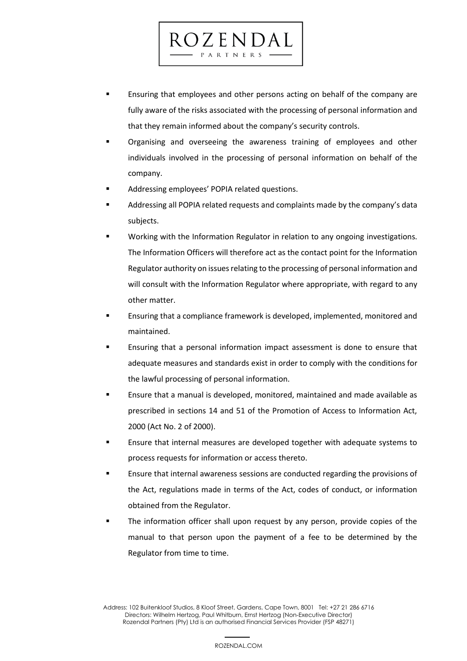**Ensuring that employees and other persons acting on behalf of the company are** fully aware of the risks associated with the processing of personal information and that they remain informed about the company's security controls.

 $CZENDA$ PARTNERS

- Organising and overseeing the awareness training of employees and other individuals involved in the processing of personal information on behalf of the company.
- Addressing employees' POPIA related questions.
- Addressing all POPIA related requests and complaints made by the company's data subjects.
- Working with the Information Regulator in relation to any ongoing investigations. The Information Officers will therefore act as the contact point for the Information Regulator authority on issues relating to the processing of personal information and will consult with the Information Regulator where appropriate, with regard to any other matter.
- Ensuring that a compliance framework is developed, implemented, monitored and maintained.
- Ensuring that a personal information impact assessment is done to ensure that adequate measures and standards exist in order to comply with the conditions for the lawful processing of personal information.
- Ensure that a manual is developed, monitored, maintained and made available as prescribed in sections 14 and 51 of the Promotion of Access to Information Act, 2000 (Act No. 2 of 2000).
- Ensure that internal measures are developed together with adequate systems to process requests for information or access thereto.
- Ensure that internal awareness sessions are conducted regarding the provisions of the Act, regulations made in terms of the Act, codes of conduct, or information obtained from the Regulator.
- The information officer shall upon request by any person, provide copies of the manual to that person upon the payment of a fee to be determined by the Regulator from time to time.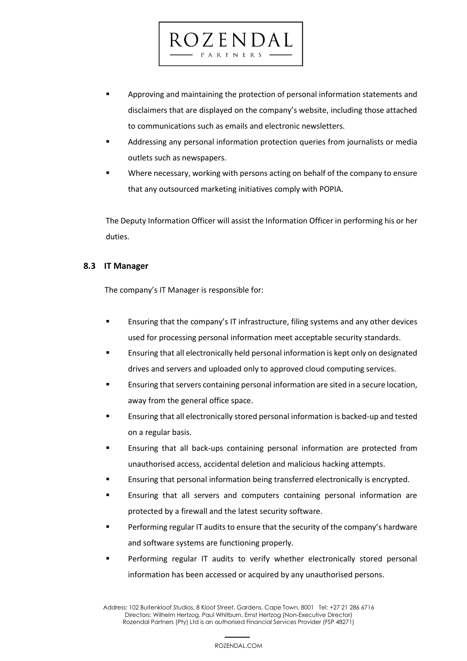**•** Approving and maintaining the protection of personal information statements and disclaimers that are displayed on the company's website, including those attached to communications such as emails and electronic newsletters.

ROZENDAL PARTNERS

- Addressing any personal information protection queries from journalists or media outlets such as newspapers.
- Where necessary, working with persons acting on behalf of the company to ensure that any outsourced marketing initiatives comply with POPIA.

The Deputy Information Officer will assist the Information Officer in performing his or her duties.

# **8.3 IT Manager**

The company's IT Manager is responsible for:

- **E** Ensuring that the company's IT infrastructure, filing systems and any other devices used for processing personal information meet acceptable security standards.
- Ensuring that all electronically held personal information is kept only on designated drives and servers and uploaded only to approved cloud computing services.
- **E** Ensuring that servers containing personal information are sited in a secure location, away from the general office space.
- Ensuring that all electronically stored personal information is backed-up and tested on a regular basis.
- Ensuring that all back-ups containing personal information are protected from unauthorised access, accidental deletion and malicious hacking attempts.
- Ensuring that personal information being transferred electronically is encrypted.
- **Ensuring that all servers and computers containing personal information are** protected by a firewall and the latest security software.
- Performing regular IT audits to ensure that the security of the company's hardware and software systems are functioning properly.
- Performing regular IT audits to verify whether electronically stored personal information has been accessed or acquired by any unauthorised persons.

 22 Address: 102 Buitenkloof Studios, 8 Kloof Street, Gardens, Cape Town, 8001 Tel: +27 21 286 6716 Directors: Wilhelm Hertzog, Paul Whitburn, Ernst Hertzog (Non-Executive Director) Rozendal Partners (Pty) Ltd is an authorised Financial Services Provider (FSP 48271)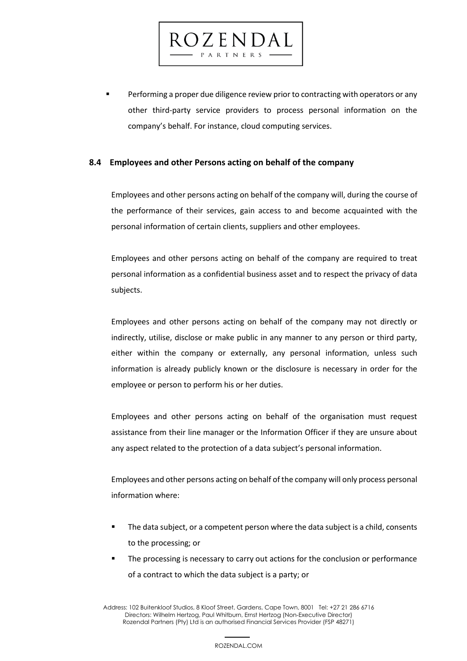Performing a proper due diligence review prior to contracting with operators or any other third-party service providers to process personal information on the company's behalf. For instance, cloud computing services.

# **8.4 Employees and other Persons acting on behalf of the company**

ROZENDAL PARTNERS

Employees and other persons acting on behalf of the company will, during the course of the performance of their services, gain access to and become acquainted with the personal information of certain clients, suppliers and other employees.

Employees and other persons acting on behalf of the company are required to treat personal information as a confidential business asset and to respect the privacy of data subjects.

Employees and other persons acting on behalf of the company may not directly or indirectly, utilise, disclose or make public in any manner to any person or third party, either within the company or externally, any personal information, unless such information is already publicly known or the disclosure is necessary in order for the employee or person to perform his or her duties.

Employees and other persons acting on behalf of the organisation must request assistance from their line manager or the Information Officer if they are unsure about any aspect related to the protection of a data subject's personal information.

Employees and other persons acting on behalf of the company will only process personal information where:

- The data subject, or a competent person where the data subject is a child, consents to the processing; or
- The processing is necessary to carry out actions for the conclusion or performance of a contract to which the data subject is a party; or

 23 Address: 102 Buitenkloof Studios, 8 Kloof Street, Gardens, Cape Town, 8001 Tel: +27 21 286 6716 Directors: Wilhelm Hertzog, Paul Whitburn, Ernst Hertzog (Non-Executive Director) Rozendal Partners (Pty) Ltd is an authorised Financial Services Provider (FSP 48271)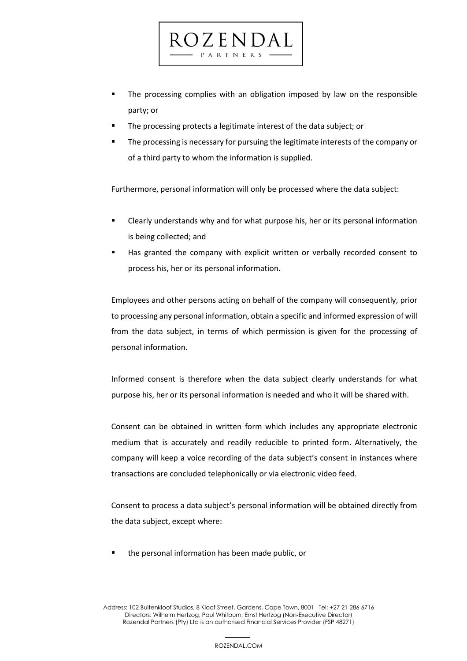▪ The processing complies with an obligation imposed by law on the responsible party; or

The processing protects a legitimate interest of the data subject; or

 $7.5$  N D A PARTNERS

The processing is necessary for pursuing the legitimate interests of the company or of a third party to whom the information is supplied.

Furthermore, personal information will only be processed where the data subject:

- Clearly understands why and for what purpose his, her or its personal information is being collected; and
- Has granted the company with explicit written or verbally recorded consent to process his, her or its personal information.

Employees and other persons acting on behalf of the company will consequently, prior to processing any personal information, obtain a specific and informed expression of will from the data subject, in terms of which permission is given for the processing of personal information.

Informed consent is therefore when the data subject clearly understands for what purpose his, her or its personal information is needed and who it will be shared with.

Consent can be obtained in written form which includes any appropriate electronic medium that is accurately and readily reducible to printed form. Alternatively, the company will keep a voice recording of the data subject's consent in instances where transactions are concluded telephonically or via electronic video feed.

Consent to process a data subject's personal information will be obtained directly from the data subject, except where:

■ the personal information has been made public, or

24 Address: 102 Buitenkloof Studios, 8 Kloof Street, Gardens, Cape Town, 8001 Tel: +27 21 286 6716 Directors: Wilhelm Hertzog, Paul Whitburn, Ernst Hertzog (Non-Executive Director) Rozendal Partners (Pty) Ltd is an authorised Financial Services Provider (FSP 48271)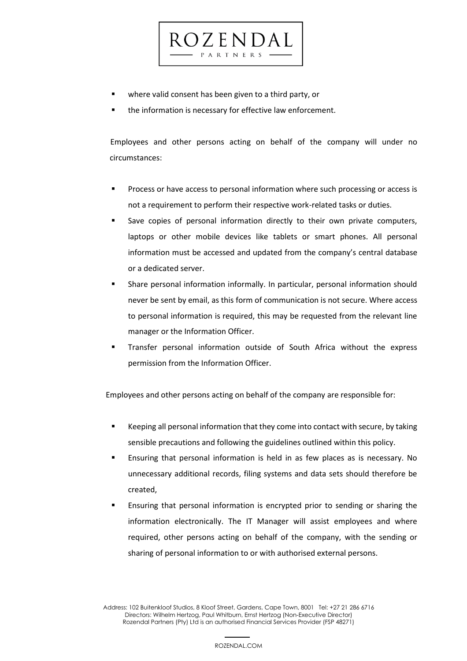

the information is necessary for effective law enforcement.

 $CZENDA$ PARTNERS

 Employees and other persons acting on behalf of the company will under no circumstances:

- Process or have access to personal information where such processing or access is not a requirement to perform their respective work-related tasks or duties.
- Save copies of personal information directly to their own private computers, laptops or other mobile devices like tablets or smart phones. All personal information must be accessed and updated from the company's central database or a dedicated server.
- Share personal information informally. In particular, personal information should never be sent by email, as this form of communication is not secure. Where access to personal information is required, this may be requested from the relevant line manager or the Information Officer.
- Transfer personal information outside of South Africa without the express permission from the Information Officer.

Employees and other persons acting on behalf of the company are responsible for:

- Keeping all personal information that they come into contact with secure, by taking sensible precautions and following the guidelines outlined within this policy.
- Ensuring that personal information is held in as few places as is necessary. No unnecessary additional records, filing systems and data sets should therefore be created,
- Ensuring that personal information is encrypted prior to sending or sharing the information electronically. The IT Manager will assist employees and where required, other persons acting on behalf of the company, with the sending or sharing of personal information to or with authorised external persons.

25 Address: 102 Buitenkloof Studios, 8 Kloof Street, Gardens, Cape Town, 8001 Tel: +27 21 286 6716 Directors: Wilhelm Hertzog, Paul Whitburn, Ernst Hertzog (Non-Executive Director) Rozendal Partners (Pty) Ltd is an authorised Financial Services Provider (FSP 48271)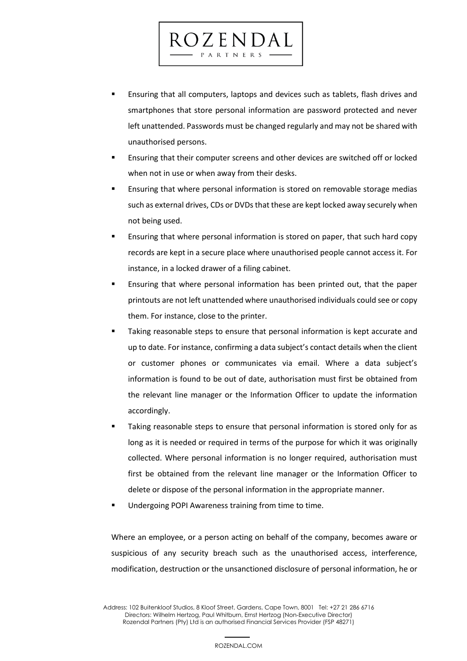Ensuring that all computers, laptops and devices such as tablets, flash drives and smartphones that store personal information are password protected and never left unattended. Passwords must be changed regularly and may not be shared with unauthorised persons.

ROZENDAL PARTNERS

- Ensuring that their computer screens and other devices are switched off or locked when not in use or when away from their desks.
- Ensuring that where personal information is stored on removable storage medias such as external drives, CDs or DVDs that these are kept locked away securely when not being used.
- Ensuring that where personal information is stored on paper, that such hard copy records are kept in a secure place where unauthorised people cannot access it. For instance, in a locked drawer of a filing cabinet.
- Ensuring that where personal information has been printed out, that the paper printouts are not left unattended where unauthorised individuals could see or copy them. For instance, close to the printer.
- Taking reasonable steps to ensure that personal information is kept accurate and up to date. For instance, confirming a data subject's contact details when the client or customer phones or communicates via email. Where a data subject's information is found to be out of date, authorisation must first be obtained from the relevant line manager or the Information Officer to update the information accordingly.
- Taking reasonable steps to ensure that personal information is stored only for as long as it is needed or required in terms of the purpose for which it was originally collected. Where personal information is no longer required, authorisation must first be obtained from the relevant line manager or the Information Officer to delete or dispose of the personal information in the appropriate manner.
- Undergoing POPI Awareness training from time to time.

Where an employee, or a person acting on behalf of the company, becomes aware or suspicious of any security breach such as the unauthorised access, interference, modification, destruction or the unsanctioned disclosure of personal information, he or

26 Address: 102 Buitenkloof Studios, 8 Kloof Street, Gardens, Cape Town, 8001 Tel: +27 21 286 6716 Directors: Wilhelm Hertzog, Paul Whitburn, Ernst Hertzog (Non-Executive Director) Rozendal Partners (Pty) Ltd is an authorised Financial Services Provider (FSP 48271)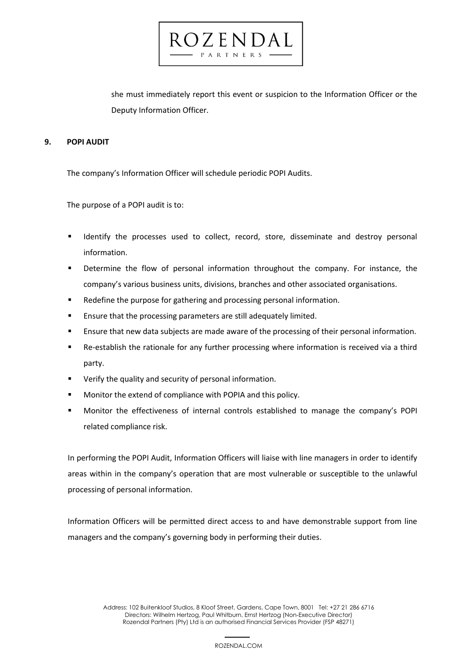she must immediately report this event or suspicion to the Information Officer or the Deputy Information Officer.

0 Z E N D A PARTNERS

# **9. POPI AUDIT**

The company's Information Officer will schedule periodic POPI Audits.

The purpose of a POPI audit is to:

- Identify the processes used to collect, record, store, disseminate and destroy personal information.
- **E** Determine the flow of personal information throughout the company. For instance, the company's various business units, divisions, branches and other associated organisations.
- Redefine the purpose for gathering and processing personal information.
- **E** Ensure that the processing parameters are still adequately limited.
- Ensure that new data subjects are made aware of the processing of their personal information.
- Re-establish the rationale for any further processing where information is received via a third party.
- Verify the quality and security of personal information.
- Monitor the extend of compliance with POPIA and this policy.
- Monitor the effectiveness of internal controls established to manage the company's POPI related compliance risk.

In performing the POPI Audit, Information Officers will liaise with line managers in order to identify areas within in the company's operation that are most vulnerable or susceptible to the unlawful processing of personal information.

Information Officers will be permitted direct access to and have demonstrable support from line managers and the company's governing body in performing their duties.

 27 Address: 102 Buitenkloof Studios, 8 Kloof Street, Gardens, Cape Town, 8001 Tel: +27 21 286 6716 Directors: Wilhelm Hertzog, Paul Whitburn, Ernst Hertzog (Non-Executive Director) Rozendal Partners (Pty) Ltd is an authorised Financial Services Provider (FSP 48271)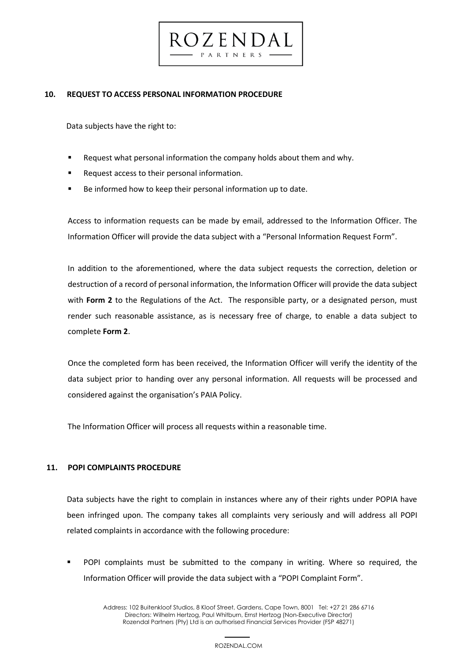# **10. REQUEST TO ACCESS PERSONAL INFORMATION PROCEDURE**

Data subjects have the right to:

Request what personal information the company holds about them and why.

 $CZENDA$ PARTNERS

- Request access to their personal information.
- Be informed how to keep their personal information up to date.

Access to information requests can be made by email, addressed to the Information Officer. The Information Officer will provide the data subject with a "Personal Information Request Form".

In addition to the aforementioned, where the data subject requests the correction, deletion or destruction of a record of personal information, the Information Officer will provide the data subject with **Form 2** to the Regulations of the Act. The responsible party, or a designated person, must render such reasonable assistance, as is necessary free of charge, to enable a data subject to complete **Form 2**.

Once the completed form has been received, the Information Officer will verify the identity of the data subject prior to handing over any personal information. All requests will be processed and considered against the organisation's PAIA Policy.

The Information Officer will process all requests within a reasonable time.

# **11. POPI COMPLAINTS PROCEDURE**

Data subjects have the right to complain in instances where any of their rights under POPIA have been infringed upon. The company takes all complaints very seriously and will address all POPI related complaints in accordance with the following procedure:

POPI complaints must be submitted to the company in writing. Where so required, the Information Officer will provide the data subject with a "POPI Complaint Form".

 28 Address: 102 Buitenkloof Studios, 8 Kloof Street, Gardens, Cape Town, 8001 Tel: +27 21 286 6716 Directors: Wilhelm Hertzog, Paul Whitburn, Ernst Hertzog (Non-Executive Director) Rozendal Partners (Pty) Ltd is an authorised Financial Services Provider (FSP 48271)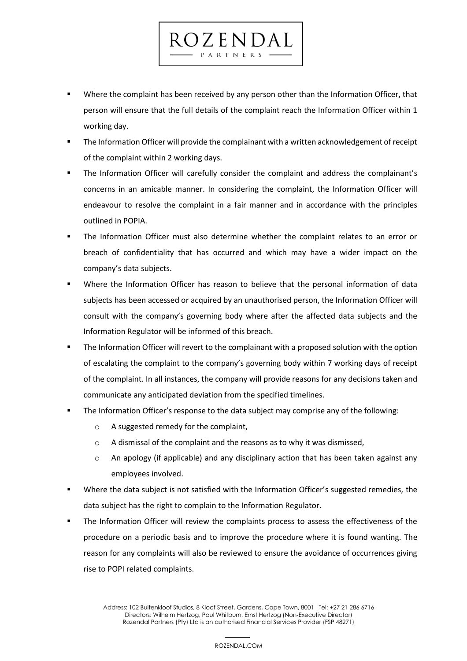**■** Where the complaint has been received by any person other than the Information Officer, that person will ensure that the full details of the complaint reach the Information Officer within 1 working day.

ROZENDAL PARTNERS

- The Information Officer will provide the complainant with a written acknowledgement of receipt of the complaint within 2 working days.
- The Information Officer will carefully consider the complaint and address the complainant's concerns in an amicable manner. In considering the complaint, the Information Officer will endeavour to resolve the complaint in a fair manner and in accordance with the principles outlined in POPIA.
- The Information Officer must also determine whether the complaint relates to an error or breach of confidentiality that has occurred and which may have a wider impact on the company's data subjects.
- Where the Information Officer has reason to believe that the personal information of data subjects has been accessed or acquired by an unauthorised person, the Information Officer will consult with the company's governing body where after the affected data subjects and the Information Regulator will be informed of this breach.
- The Information Officer will revert to the complainant with a proposed solution with the option of escalating the complaint to the company's governing body within 7 working days of receipt of the complaint. In all instances, the company will provide reasons for any decisions taken and communicate any anticipated deviation from the specified timelines.
- The Information Officer's response to the data subject may comprise any of the following:
	- o A suggested remedy for the complaint,
	- o A dismissal of the complaint and the reasons as to why it was dismissed,
	- $\circ$  An apology (if applicable) and any disciplinary action that has been taken against any employees involved.
- Where the data subject is not satisfied with the Information Officer's suggested remedies, the data subject has the right to complain to the Information Regulator.
- The Information Officer will review the complaints process to assess the effectiveness of the procedure on a periodic basis and to improve the procedure where it is found wanting. The reason for any complaints will also be reviewed to ensure the avoidance of occurrences giving rise to POPI related complaints.

 29 Address: 102 Buitenkloof Studios, 8 Kloof Street, Gardens, Cape Town, 8001 Tel: +27 21 286 6716 Directors: Wilhelm Hertzog, Paul Whitburn, Ernst Hertzog (Non-Executive Director) Rozendal Partners (Pty) Ltd is an authorised Financial Services Provider (FSP 48271)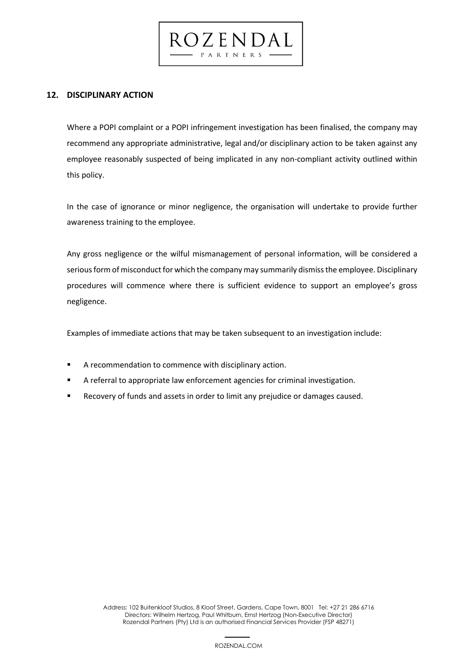**12. DISCIPLINARY ACTION**

Where a POPI complaint or a POPI infringement investigation has been finalised, the company may recommend any appropriate administrative, legal and/or disciplinary action to be taken against any employee reasonably suspected of being implicated in any non-compliant activity outlined within this policy.

dzendal

PARTNERS

In the case of ignorance or minor negligence, the organisation will undertake to provide further awareness training to the employee.

Any gross negligence or the wilful mismanagement of personal information, will be considered a serious form of misconduct for which the company may summarily dismiss the employee. Disciplinary procedures will commence where there is sufficient evidence to support an employee's gross negligence.

Examples of immediate actions that may be taken subsequent to an investigation include:

- A recommendation to commence with disciplinary action.
- A referral to appropriate law enforcement agencies for criminal investigation.
- **EXECOVER** 19 Recovery of funds and assets in order to limit any prejudice or damages caused.

 30 Address: 102 Buitenkloof Studios, 8 Kloof Street, Gardens, Cape Town, 8001 Tel: +27 21 286 6716 Directors: Wilhelm Hertzog, Paul Whitburn, Ernst Hertzog (Non-Executive Director) Rozendal Partners (Pty) Ltd is an authorised Financial Services Provider (FSP 48271)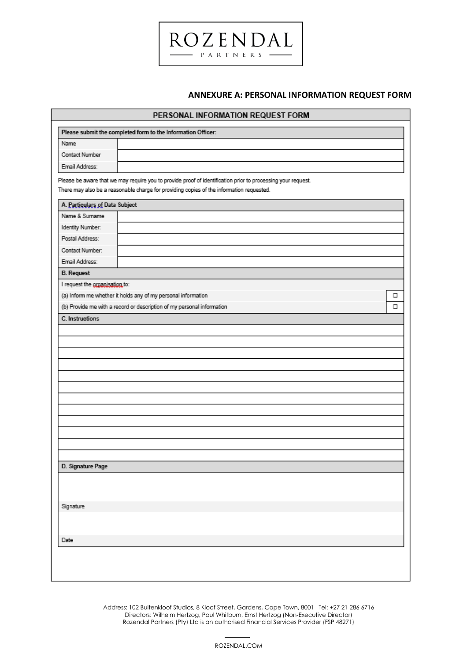

|                                | PERSONAL INFORMATION REQUEST FORM                                                                                                                                                                        |   |
|--------------------------------|----------------------------------------------------------------------------------------------------------------------------------------------------------------------------------------------------------|---|
|                                | Please submit the completed form to the Information Officer:                                                                                                                                             |   |
| Name                           |                                                                                                                                                                                                          |   |
| Contact Number                 |                                                                                                                                                                                                          |   |
| Email Address:                 |                                                                                                                                                                                                          |   |
|                                | Please be aware that we may require you to provide proof of identification prior to processing your request.<br>There may also be a reasonable charge for providing copies of the information requested. |   |
| A. Particulars of Data Subject |                                                                                                                                                                                                          |   |
| Name & Surname                 |                                                                                                                                                                                                          |   |
| Identity Number:               |                                                                                                                                                                                                          |   |
| Postal Address:                |                                                                                                                                                                                                          |   |
| Contact Number:                |                                                                                                                                                                                                          |   |
| Email Address:                 |                                                                                                                                                                                                          |   |
| <b>B.</b> Request              |                                                                                                                                                                                                          |   |
| I request the arganisation to: |                                                                                                                                                                                                          |   |
|                                | (a) Inform me whether it holds any of my personal information                                                                                                                                            | □ |
|                                | (b) Provide me with a record or description of my personal information                                                                                                                                   | □ |
| C. Instructions                |                                                                                                                                                                                                          |   |
|                                |                                                                                                                                                                                                          |   |
|                                |                                                                                                                                                                                                          |   |
|                                |                                                                                                                                                                                                          |   |
|                                |                                                                                                                                                                                                          |   |
|                                |                                                                                                                                                                                                          |   |
|                                |                                                                                                                                                                                                          |   |
|                                |                                                                                                                                                                                                          |   |
| D. Signature Page              |                                                                                                                                                                                                          |   |
|                                |                                                                                                                                                                                                          |   |
| Signature                      |                                                                                                                                                                                                          |   |
|                                |                                                                                                                                                                                                          |   |
| Date                           |                                                                                                                                                                                                          |   |
|                                |                                                                                                                                                                                                          |   |

**ROZENDAL** PARTNERS -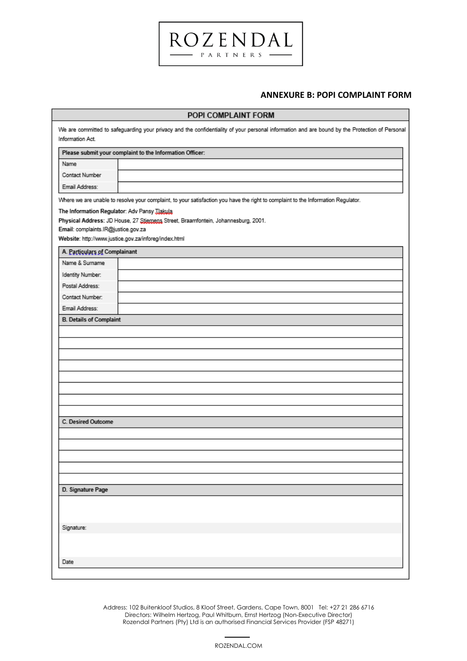#### **ANNEXURE B: POPI COMPLAINT FORM**

|                                              | POPI COMPLAINT FORM                                                                                                                            |
|----------------------------------------------|------------------------------------------------------------------------------------------------------------------------------------------------|
| Information Act.                             | We are committed to safeguarding your privacy and the confidentiality of your personal information and are bound by the Protection of Personal |
|                                              | Please submit your complaint to the Information Officer:                                                                                       |
| Name                                         |                                                                                                                                                |
| Contact Number                               |                                                                                                                                                |
| Email Address:                               |                                                                                                                                                |
|                                              | Where we are unable to resolve your complaint, to your satisfaction you have the right to complaint to the Information Regulator.              |
| The Information Regulator: Adv Pansy JJakula |                                                                                                                                                |
|                                              | Physical Address: JD House, 27 Stjernens Street, Braamfontein, Johannesburg, 2001.                                                             |
| Email: complaints.IR@justice.gov.za          |                                                                                                                                                |
|                                              | Website: http://www.justice.gov.za/inforeg/index.html                                                                                          |
| A. Particulars of Complainant                |                                                                                                                                                |
| Name & Surname                               |                                                                                                                                                |
| Identity Number:                             |                                                                                                                                                |
| Postal Address:                              |                                                                                                                                                |
| Contact Number:                              |                                                                                                                                                |
| Email Address:                               |                                                                                                                                                |
| C. Desired Outcome                           |                                                                                                                                                |
| D. Signature Page                            |                                                                                                                                                |
| Signature:                                   |                                                                                                                                                |
| Date                                         |                                                                                                                                                |

**ROZENDAL** -  $P$  A R T N E R S -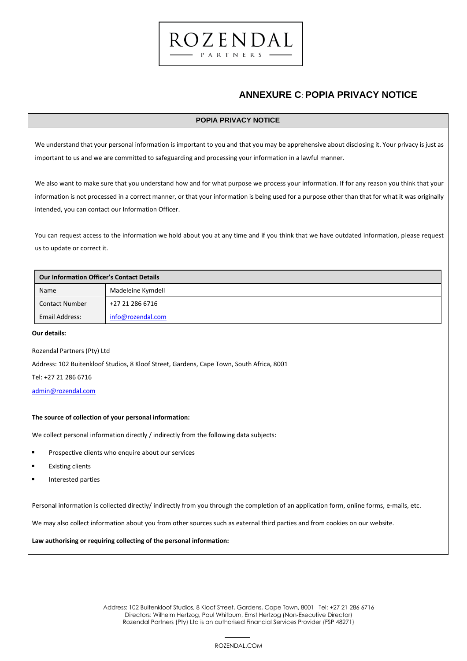

#### **POPIA PRIVACY NOTICE**

ROZENDAL PARTNERS

We understand that your personal information is important to you and that you may be apprehensive about disclosing it. Your privacy is just as important to us and we are committed to safeguarding and processing your information in a lawful manner.

We also want to make sure that you understand how and for what purpose we process your information. If for any reason you think that your information is not processed in a correct manner, or that your information is being used for a purpose other than that for what it was originally intended, you can contact our Information Officer.

You can request access to the information we hold about you at any time and if you think that we have outdated information, please request us to update or correct it.

| <b>Our Information Officer's Contact Details</b> |                   |
|--------------------------------------------------|-------------------|
| Name                                             | Madeleine Kymdell |
| <b>Contact Number</b>                            | +27 21 286 6716   |
| Email Address:                                   | info@rozendal.com |

**Our details:**

Rozendal Partners (Pty) Ltd

Address: 102 Buitenkloof Studios, 8 Kloof Street, Gardens, Cape Town, South Africa, 8001

Tel: +27 21 286 6716

[admin@rozendal.com](mailto:admin@rozendal.com)

#### **The source of collection of your personal information:**

We collect personal information directly / indirectly from the following data subjects:

- Prospective clients who enquire about our services
- **Existing clients**
- Interested parties

Personal information is collected directly/ indirectly from you through the completion of an application form, online forms, e-mails, etc.

We may also collect information about you from other sources such as external third parties and from cookies on our website.

**Law authorising or requiring collecting of the personal information:**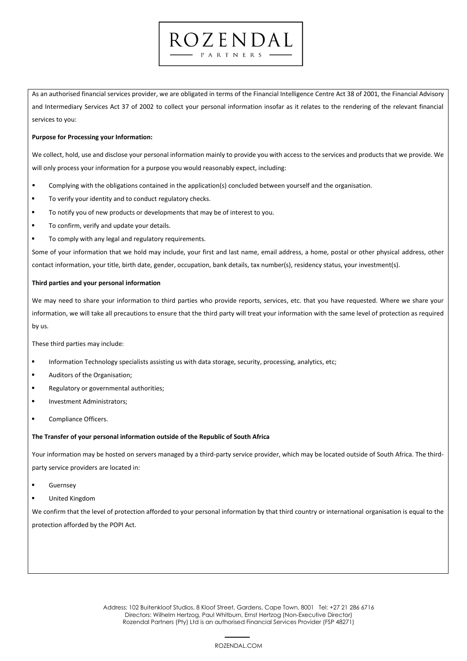As an authorised financial services provider, we are obligated in terms of the Financial Intelligence Centre Act 38 of 2001, the Financial Advisory and Intermediary Services Act 37 of 2002 to collect your personal information insofar as it relates to the rendering of the relevant financial services to you:

ROZENDAL PARTNERS

#### **Purpose for Processing your Information:**

We collect, hold, use and disclose your personal information mainly to provide you with access to the services and products that we provide. We will only process your information for a purpose you would reasonably expect, including:

- Complying with the obligations contained in the application(s) concluded between yourself and the organisation.
- To verify your identity and to conduct regulatory checks.
- To notify you of new products or developments that may be of interest to you.
- To confirm, verify and update your details.
- To comply with any legal and regulatory requirements.

Some of your information that we hold may include, your first and last name, email address, a home, postal or other physical address, other contact information, your title, birth date, gender, occupation, bank details, tax number(s), residency status, your investment(s).

#### **Third parties and your personal information**

We may need to share your information to third parties who provide reports, services, etc. that you have requested. Where we share your information, we will take all precautions to ensure that the third party will treat your information with the same level of protection as required by us.

These third parties may include:

- Information Technology specialists assisting us with data storage, security, processing, analytics, etc;
- Auditors of the Organisation;
- Regulatory or governmental authorities;
- **Investment Administrators:**
- Compliance Officers.

#### **The Transfer of your personal information outside of the Republic of South Africa**

Your information may be hosted on servers managed by a third-party service provider, which may be located outside of South Africa. The thirdparty service providers are located in:

- **Guernsey**
- **United Kingdom**

We confirm that the level of protection afforded to your personal information by that third country or international organisation is equal to the protection afforded by the POPI Act.

 34 Address: 102 Buitenkloof Studios, 8 Kloof Street, Gardens, Cape Town, 8001 Tel: +27 21 286 6716 Directors: Wilhelm Hertzog, Paul Whitburn, Ernst Hertzog (Non-Executive Director) Rozendal Partners (Pty) Ltd is an authorised Financial Services Provider (FSP 48271)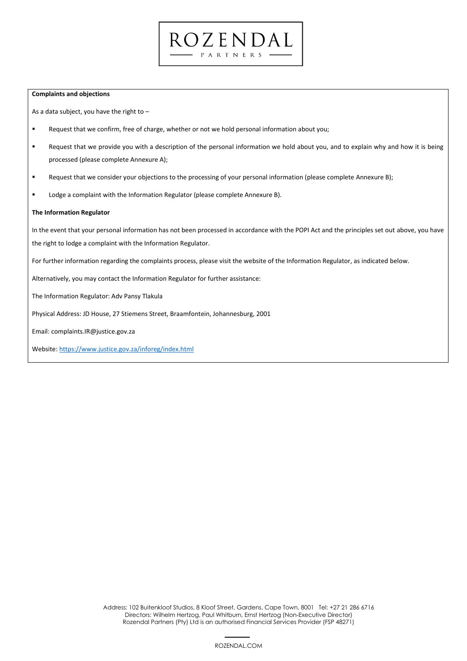#### **Complaints and objections**

As a data subject, you have the right to –

- Request that we confirm, free of charge, whether or not we hold personal information about you;
- "Request that we provide you with a description of the personal information we hold about you, and to explain why and how it is being processed (please complete Annexure A);

ROZENDAL  $P$  A R T N E R S  $\cdot$ 

- Request that we consider your objections to the processing of your personal information (please complete Annexure B);
- Lodge a complaint with the Information Regulator (please complete Annexure B).

#### **The Information Regulator**

In the event that your personal information has not been processed in accordance with the POPI Act and the principles set out above, you have the right to lodge a complaint with the Information Regulator.

For further information regarding the complaints process, please visit the website of the Information Regulator, as indicated below.

Alternatively, you may contact the Information Regulator for further assistance:

The Information Regulator: Adv Pansy Tlakula

Physical Address: JD House, 27 Stiemens Street, Braamfontein, Johannesburg, 2001

Email: complaints.IR@justice.gov.za

Website[: https://www.justice.gov.za/inforeg/index.html](https://www.justice.gov.za/inforeg/index.html)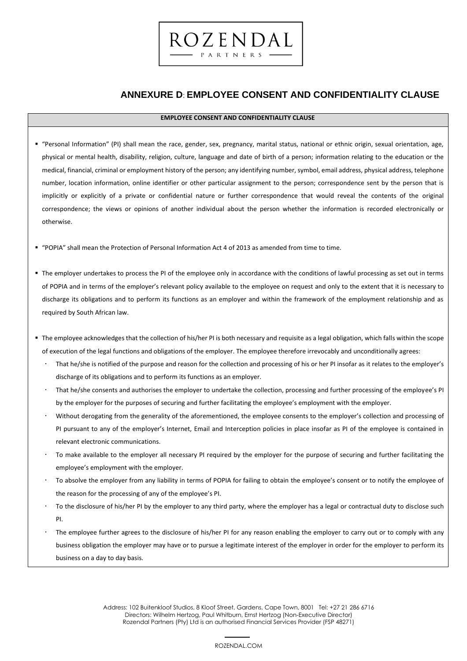# **ANNEXURE D**: **EMPLOYEE CONSENT AND CONFIDENTIALITY CLAUSE**

#### **EMPLOYEE CONSENT AND CONFIDENTIALITY CLAUSE**

ROZENDAL PARTNERS

- "Personal Information" (PI) shall mean the race, gender, sex, pregnancy, marital status, national or ethnic origin, sexual orientation, age, physical or mental health, disability, religion, culture, language and date of birth of a person; information relating to the education or the medical, financial, criminal or employment history of the person; any identifying number, symbol, email address, physical address, telephone number, location information, online identifier or other particular assignment to the person; correspondence sent by the person that is implicitly or explicitly of a private or confidential nature or further correspondence that would reveal the contents of the original correspondence; the views or opinions of another individual about the person whether the information is recorded electronically or otherwise.
- "POPIA" shall mean the Protection of Personal Information Act 4 of 2013 as amended from time to time.
- The employer undertakes to process the PI of the employee only in accordance with the conditions of lawful processing as set out in terms of POPIA and in terms of the employer's relevant policy available to the employee on request and only to the extent that it is necessary to discharge its obligations and to perform its functions as an employer and within the framework of the employment relationship and as required by South African law.
- The employee acknowledges that the collection of his/her PI is both necessary and requisite as a legal obligation, which falls within the scope of execution of the legal functions and obligations of the employer. The employee therefore irrevocably and unconditionally agrees:
	- That he/she is notified of the purpose and reason for the collection and processing of his or her PI insofar as it relates to the employer's discharge of its obligations and to perform its functions as an employer.
	- That he/she consents and authorises the employer to undertake the collection, processing and further processing of the employee's PI by the employer for the purposes of securing and further facilitating the employee's employment with the employer.
	- Without derogating from the generality of the aforementioned, the employee consents to the employer's collection and processing of PI pursuant to any of the employer's Internet, Email and Interception policies in place insofar as PI of the employee is contained in relevant electronic communications.
	- To make available to the employer all necessary PI required by the employer for the purpose of securing and further facilitating the employee's employment with the employer.
	- To absolve the employer from any liability in terms of POPIA for failing to obtain the employee's consent or to notify the employee of the reason for the processing of any of the employee's PI.
	- To the disclosure of his/her PI by the employer to any third party, where the employer has a legal or contractual duty to disclose such PI.
	- The employee further agrees to the disclosure of his/her PI for any reason enabling the employer to carry out or to comply with any business obligation the employer may have or to pursue a legitimate interest of the employer in order for the employer to perform its business on a day to day basis.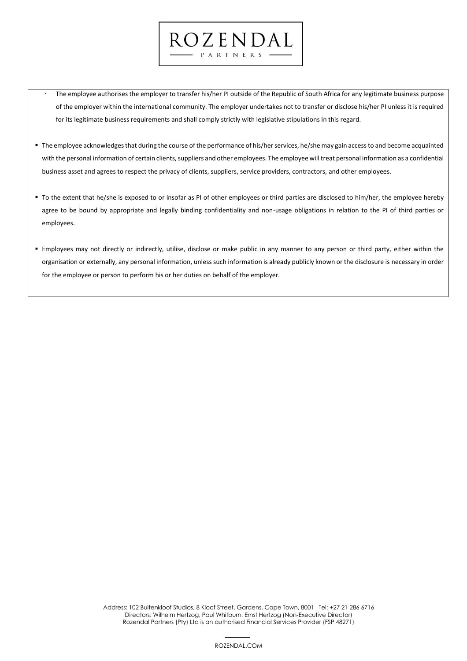The employee authorises the employer to transfer his/her PI outside of the Republic of South Africa for any legitimate business purpose of the employer within the international community. The employer undertakes not to transfer or disclose his/her PI unless it is required for its legitimate business requirements and shall comply strictly with legislative stipulations in this regard.

ROZENDAL PARTNERS

- The employee acknowledges that during the course of the performance of his/her services, he/she may gain access to and become acquainted with the personal information of certain clients, suppliers and other employees. The employee will treat personal information as a confidential business asset and agrees to respect the privacy of clients, suppliers, service providers, contractors, and other employees.
- To the extent that he/she is exposed to or insofar as PI of other employees or third parties are disclosed to him/her, the employee hereby agree to be bound by appropriate and legally binding confidentiality and non-usage obligations in relation to the PI of third parties or employees.
- Employees may not directly or indirectly, utilise, disclose or make public in any manner to any person or third party, either within the organisation or externally, any personal information, unless such information is already publicly known or the disclosure is necessary in order for the employee or person to perform his or her duties on behalf of the employer.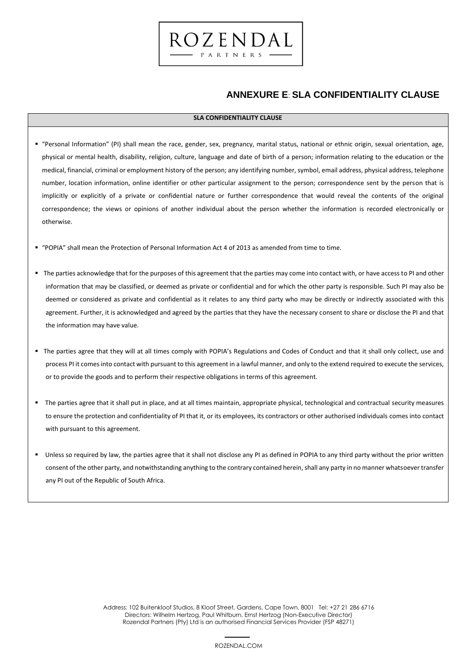# **ANNEXURE E**: **SLA CONFIDENTIALITY CLAUSE**

## **SLA CONFIDENTIALITY CLAUSE**

- "Personal Information" (PI) shall mean the race, gender, sex, pregnancy, marital status, national or ethnic origin, sexual orientation, age, physical or mental health, disability, religion, culture, language and date of birth of a person; information relating to the education or the medical, financial, criminal or employment history of the person; any identifying number, symbol, email address, physical address, telephone number, location information, online identifier or other particular assignment to the person; correspondence sent by the person that is implicitly or explicitly of a private or confidential nature or further correspondence that would reveal the contents of the original correspondence; the views or opinions of another individual about the person whether the information is recorded electronically or otherwise.
- "POPIA" shall mean the Protection of Personal Information Act 4 of 2013 as amended from time to time.
- " The parties acknowledge that for the purposes of this agreement that the parties may come into contact with, or have access to PI and other information that may be classified, or deemed as private or confidential and for which the other party is responsible. Such PI may also be deemed or considered as private and confidential as it relates to any third party who may be directly or indirectly associated with this agreement. Further, it is acknowledged and agreed by the parties that they have the necessary consent to share or disclose the PI and that the information may have value.
- " The parties agree that they will at all times comply with POPIA's Regulations and Codes of Conduct and that it shall only collect, use and process PI it comes into contact with pursuant to this agreement in a lawful manner, and only to the extend required to execute the services, or to provide the goods and to perform their respective obligations in terms of this agreement.
- The parties agree that it shall put in place, and at all times maintain, appropriate physical, technological and contractual security measures to ensure the protection and confidentiality of PI that it, or its employees, its contractors or other authorised individuals comes into contact with pursuant to this agreement.
- Unless so required by law, the parties agree that it shall not disclose any PI as defined in POPIA to any third party without the prior written consent of the other party, and notwithstanding anything to the contrary contained herein, shall any party in no manner whatsoever transfer any PI out of the Republic of South Africa.

 38 Address: 102 Buitenkloof Studios, 8 Kloof Street, Gardens, Cape Town, 8001 Tel: +27 21 286 6716 Directors: Wilhelm Hertzog, Paul Whitburn, Ernst Hertzog (Non-Executive Director) Rozendal Partners (Pty) Ltd is an authorised Financial Services Provider (FSP 48271)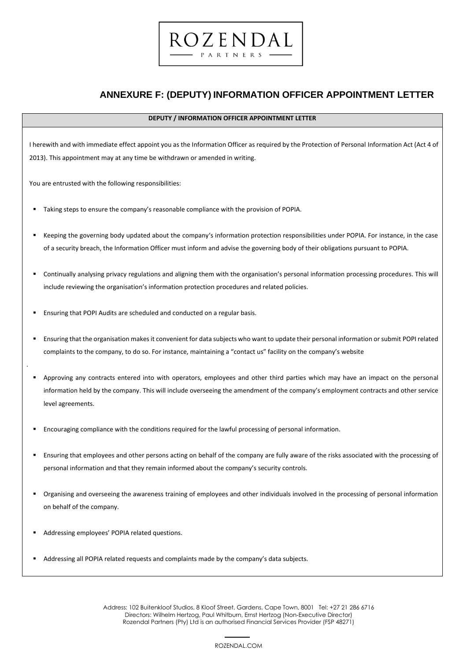# **ANNEXURE F: (DEPUTY) INFORMATION OFFICER APPOINTMENT LETTER**

#### **DEPUTY / INFORMATION OFFICER APPOINTMENT LETTER**

ROZENDAL PARTNERS

I herewith and with immediate effect appoint you as the Information Officer as required by the Protection of Personal Information Act (Act 4 of 2013). This appointment may at any time be withdrawn or amended in writing.

You are entrusted with the following responsibilities:

- Taking steps to ensure the company's reasonable compliance with the provision of POPIA.
- Keeping the governing body updated about the company's information protection responsibilities under POPIA. For instance, in the case of a security breach, the Information Officer must inform and advise the governing body of their obligations pursuant to POPIA.
- Continually analysing privacy regulations and aligning them with the organisation's personal information processing procedures. This will include reviewing the organisation's information protection procedures and related policies.
- Ensuring that POPI Audits are scheduled and conducted on a regular basis.
- Ensuring that the organisation makes it convenient for data subjects who want to update their personal information or submit POPI related complaints to the company, to do so. For instance, maintaining a "contact us" facility on the company's website
- Approving any contracts entered into with operators, employees and other third parties which may have an impact on the personal information held by the company. This will include overseeing the amendment of the company's employment contracts and other service level agreements.
- Encouraging compliance with the conditions required for the lawful processing of personal information.
- Ensuring that employees and other persons acting on behalf of the company are fully aware of the risks associated with the processing of personal information and that they remain informed about the company's security controls.
- Organising and overseeing the awareness training of employees and other individuals involved in the processing of personal information on behalf of the company.
- Addressing employees' POPIA related questions.

.

Addressing all POPIA related requests and complaints made by the company's data subjects.

 39 Address: 102 Buitenkloof Studios, 8 Kloof Street, Gardens, Cape Town, 8001 Tel: +27 21 286 6716 Directors: Wilhelm Hertzog, Paul Whitburn, Ernst Hertzog (Non-Executive Director) Rozendal Partners (Pty) Ltd is an authorised Financial Services Provider (FSP 48271)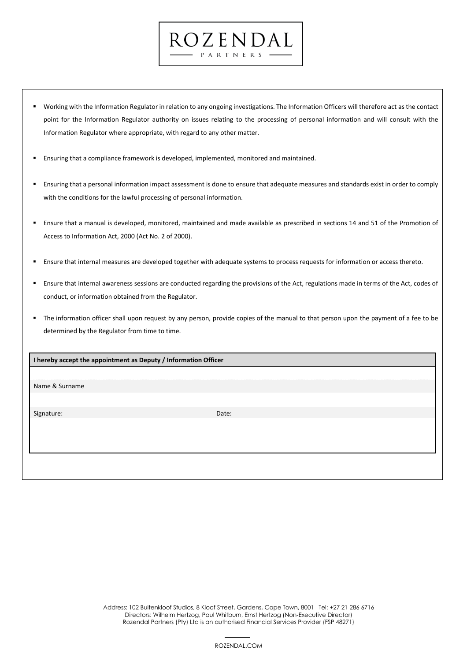Working with the Information Regulator in relation to any ongoing investigations. The Information Officers will therefore act as the contact point for the Information Regulator authority on issues relating to the processing of personal information and will consult with the Information Regulator where appropriate, with regard to any other matter.

ROZENDAL PARTNERS -

- Ensuring that a compliance framework is developed, implemented, monitored and maintained.
- Ensuring that a personal information impact assessment is done to ensure that adequate measures and standards exist in order to comply with the conditions for the lawful processing of personal information.
- Ensure that a manual is developed, monitored, maintained and made available as prescribed in sections 14 and 51 of the Promotion of Access to Information Act, 2000 (Act No. 2 of 2000).
- Ensure that internal measures are developed together with adequate systems to process requests for information or access thereto.
- Ensure that internal awareness sessions are conducted regarding the provisions of the Act, regulations made in terms of the Act, codes of conduct, or information obtained from the Regulator.
- The information officer shall upon request by any person, provide copies of the manual to that person upon the payment of a fee to be determined by the Regulator from time to time.

**I hereby accept the appointment as Deputy / Information Officer** 

Name & Surname

Signature: Date: Date: Date: Date: Date: Date: Date: Date: Date: Date: Date: Date: Date: Date: Date: Date: Date: Date: Date: Date: Date: Date: Date: Date: Date: Date: Date: Date: Date: Date: Date: Date: Date: Date: Date: D

 40 Address: 102 Buitenkloof Studios, 8 Kloof Street, Gardens, Cape Town, 8001 Tel: +27 21 286 6716 Directors: Wilhelm Hertzog, Paul Whitburn, Ernst Hertzog (Non-Executive Director) Rozendal Partners (Pty) Ltd is an authorised Financial Services Provider (FSP 48271)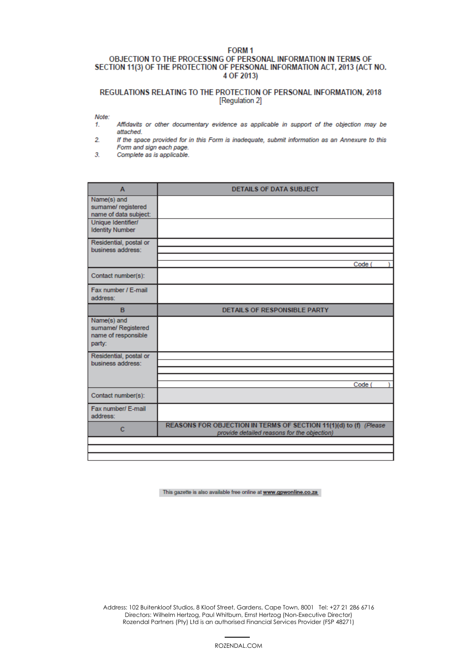#### FORM<sub>1</sub> OBJECTION TO THE PROCESSING OF PERSONAL INFORMATION IN TERMS OF SECTION 11(3) OF THE PROTECTION OF PERSONAL INFORMATION ACT, 2013 (ACT NO. 4 OF 2013)

## REGULATIONS RELATING TO THE PROTECTION OF PERSONAL INFORMATION, 2018 [Regulation 2]

Note:

- Affidavits or other documentary evidence as applicable in support of the objection may be 1. attached.
- $\overline{2}$ If the space provided for in this Form is inadequate, submit information as an Annexure to this Form and sign each page.
- $3<sub>1</sub>$ Complete as is applicable.

| $\mathbf{A}$                                                       | <b>DETAILS OF DATA SUBJECT</b>                                                                                   |
|--------------------------------------------------------------------|------------------------------------------------------------------------------------------------------------------|
| Name(s) and<br>sumame/ registered<br>name of data subject:         |                                                                                                                  |
| Unique Identifier/<br><b>Identity Number</b>                       |                                                                                                                  |
| Residential, postal or<br>business address:                        |                                                                                                                  |
|                                                                    | Code (                                                                                                           |
| Contact number(s):                                                 |                                                                                                                  |
| Fax number / E-mail<br>address:                                    |                                                                                                                  |
| B                                                                  | <b>DETAILS OF RESPONSIBLE PARTY</b>                                                                              |
| Name(s) and<br>sumame/ Registered<br>name of responsible<br>party: |                                                                                                                  |
| Residential, postal or<br>business address:                        |                                                                                                                  |
|                                                                    |                                                                                                                  |
| Contact number(s):                                                 | Code (                                                                                                           |
| Fax number/ E-mail<br>address:                                     |                                                                                                                  |
| c                                                                  | REASONS FOR OBJECTION IN TERMS OF SECTION 11(1)(d) to (f) (Please<br>provide detailed reasons for the objection) |
|                                                                    |                                                                                                                  |
|                                                                    |                                                                                                                  |

This gazette is also available free online at www.gpwonline.co.za

 41 Address: 102 Buitenkloof Studios, 8 Kloof Street, Gardens, Cape Town, 8001 Tel: +27 21 286 6716 Directors: Wilhelm Hertzog, Paul Whitburn, Ernst Hertzog (Non-Executive Director) Rozendal Partners (Pty) Ltd is an authorised Financial Services Provider (FSP 48271)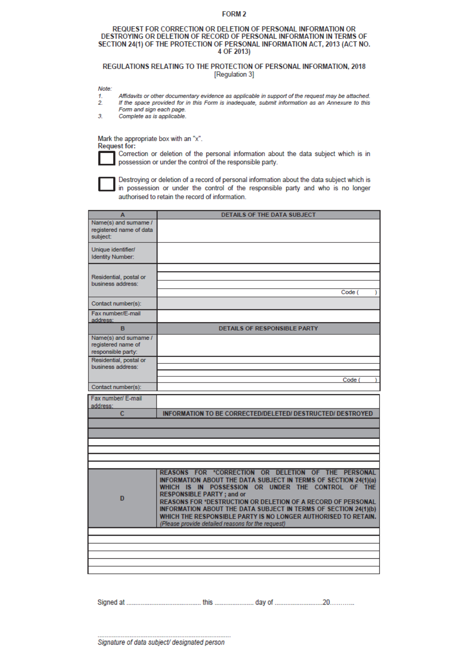#### FORM<sub>2</sub>

#### REQUEST FOR CORRECTION OR DELETION OF PERSONAL INFORMATION OR DESTROYING OR DELETION OF RECORD OF PERSONAL INFORMATION IN TERMS OF SECTION 24(1) OF THE PROTECTION OF PERSONAL INFORMATION ACT, 2013 (ACT NO. 4 OF 2013)

#### REGULATIONS RELATING TO THE PROTECTION OF PERSONAL INFORMATION, 2018 [Regulation 3]

Note:

- 1. Affidavits or other documentary evidence as applicable in support of the request may be attached.
- $2.$ If the space provided for in this Form is inadequate, submit information as an Annexure to this Form and sign each page.
- $3<sub>1</sub>$ Complete as is applicable.

Mark the appropriate box with an "x". Request for:

Correction or deletion of the personal information about the data subject which is in possession or under the control of the responsible party.

Destroying or deletion of a record of personal information about the data subject which is in possession or under the control of the responsible party and who is no longer authorised to retain the record of information.

| A                                                                | DETAILS OF THE DATA SUBJECT                                                                                                                                                                                                                                                                                                                                                                                                                                                       |
|------------------------------------------------------------------|-----------------------------------------------------------------------------------------------------------------------------------------------------------------------------------------------------------------------------------------------------------------------------------------------------------------------------------------------------------------------------------------------------------------------------------------------------------------------------------|
| Name(s) and sumame /<br>registered name of data<br>subject:      |                                                                                                                                                                                                                                                                                                                                                                                                                                                                                   |
| Unique identifier/<br><b>Identity Number:</b>                    |                                                                                                                                                                                                                                                                                                                                                                                                                                                                                   |
| Residential, postal or<br>business address:                      | Code (<br>,                                                                                                                                                                                                                                                                                                                                                                                                                                                                       |
| Contact number(s):                                               |                                                                                                                                                                                                                                                                                                                                                                                                                                                                                   |
| Fax number/E-mail<br>address:                                    |                                                                                                                                                                                                                                                                                                                                                                                                                                                                                   |
| B                                                                | <b>DETAILS OF RESPONSIBLE PARTY</b>                                                                                                                                                                                                                                                                                                                                                                                                                                               |
| Name(s) and sumame /<br>registered name of<br>responsible party: |                                                                                                                                                                                                                                                                                                                                                                                                                                                                                   |
| Residential, postal or<br>business address:                      |                                                                                                                                                                                                                                                                                                                                                                                                                                                                                   |
|                                                                  |                                                                                                                                                                                                                                                                                                                                                                                                                                                                                   |
| Contact number(s):                                               | Code (                                                                                                                                                                                                                                                                                                                                                                                                                                                                            |
| Fax number/ E-mail<br>address:<br>c                              | <b>INFORMATION TO BE CORRECTED/DELETED/ DESTRUCTED/ DESTROYED</b>                                                                                                                                                                                                                                                                                                                                                                                                                 |
|                                                                  |                                                                                                                                                                                                                                                                                                                                                                                                                                                                                   |
|                                                                  |                                                                                                                                                                                                                                                                                                                                                                                                                                                                                   |
|                                                                  |                                                                                                                                                                                                                                                                                                                                                                                                                                                                                   |
|                                                                  |                                                                                                                                                                                                                                                                                                                                                                                                                                                                                   |
| D                                                                | REASONS FOR *CORRECTION OR DELETION OF THE PERSONAL<br>INFORMATION ABOUT THE DATA SUBJECT IN TERMS OF SECTION 24(1)(a)<br>WHICH IS IN POSSESSION OR UNDER THE CONTROL OF THE<br><b>RESPONSIBLE PARTY; and or</b><br><b>REASONS FOR *DESTRUCTION OR DELETION OF A RECORD OF PERSONAL</b><br>INFORMATION ABOUT THE DATA SUBJECT IN TERMS OF SECTION 24(1)(b)<br>WHICH THE RESPONSIBLE PARTY IS NO LONGER AUTHORISED TO RETAIN.<br>(Please provide detailed reasons for the request) |
|                                                                  |                                                                                                                                                                                                                                                                                                                                                                                                                                                                                   |
|                                                                  |                                                                                                                                                                                                                                                                                                                                                                                                                                                                                   |
|                                                                  |                                                                                                                                                                                                                                                                                                                                                                                                                                                                                   |
|                                                                  |                                                                                                                                                                                                                                                                                                                                                                                                                                                                                   |
|                                                                  |                                                                                                                                                                                                                                                                                                                                                                                                                                                                                   |

42 Address: 102 Buitenkloof Studios, 8 Kloof Street, Gardens, Cape Town, 8001 Tel: +27 21 286 6716